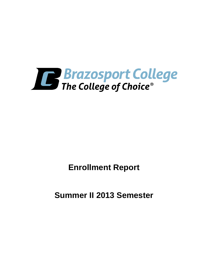

**Enrollment Report**

**Summer II 2013 Semester**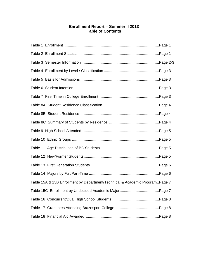# **Enrollment Report – Summer II 2013 Table of Contents**

| Table 15A & 15B Enrollment by Department/Technical & Academic ProgramPage 7 |  |
|-----------------------------------------------------------------------------|--|
|                                                                             |  |
|                                                                             |  |
|                                                                             |  |
|                                                                             |  |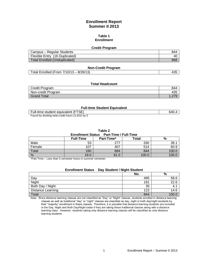# **Enrollment Report Summer II 2013**

#### **Table 1 Enrollment**

#### **Credit Program**

| Campus - Regular Students      | 844 |
|--------------------------------|-----|
| Flexible Entry (16 Duplicated) | 40  |
| Total Enrolled (Unduplicated)  | 868 |

### **Non-Credit Program**

# **Total Headcount**

| Credit Program     | 844   |
|--------------------|-------|
| Non-credit Program | 435   |
| <b>Grand Total</b> | $-LI$ |

### **Full-time Student Equivalent**

| Full-time student equivalent (FTSE)               | 640.4 |
|---------------------------------------------------|-------|
| Found by dividing total credit hours (3,202) by 5 |       |

**Table 2**

#### **Enrollment Status Part-Time / Full-Time**

|        | <b>Full-Time</b> | Part-Time* | Total | %     |
|--------|------------------|------------|-------|-------|
| Male   | 53               | 277        | 330   | 39.   |
| Female | 107              | 407        | 514   | 60.9  |
| Total  | 160              | 684        | 844   | 100.C |
| %      | 19.0             | 81.0       | 100.0 | 100.C |

\*Part-Time – Less than 5 semester hours in summer semester.

# **Enrollment Status Day Student / Night Student**

|                          | No. | %    |
|--------------------------|-----|------|
| Day                      | 495 | 58.6 |
| Night                    | 191 | 22.6 |
| Both Day / Night         | 35  | 4.   |
| <b>Distance Learning</b> | 123 | 14.6 |
| Total                    | 844 | 100  |

Note: Since distance learning classes are not classified as "Day" or "Night" classes, students enrolled in distance learning classes as well as traditional "day" or "night" classes are classified as day, night or both day/night students by their "majority" enrollment in these classes. Therefore, it is possible that distance learning students are included in the Day, Night and Both Day/Night totals if they are taking these traditional classes along with a distance learning class. However, students taking only distance learning classes will be classified as only distance learning students.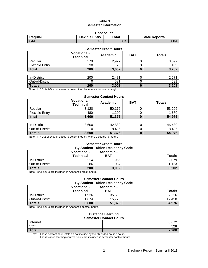# **Table 3 Semester Information**

| <b>Headcount</b>                                                                      |    |     |     |  |  |
|---------------------------------------------------------------------------------------|----|-----|-----|--|--|
| <b>Flexible Entry</b><br>$\mathop{\mathsf{Total}}$<br><b>State Reports</b><br>Regular |    |     |     |  |  |
| -844                                                                                  | 40 | 884 | 884 |  |  |

| <b>Semester Credit Hours</b>                                                      |     |       |   |       |  |  |
|-----------------------------------------------------------------------------------|-----|-------|---|-------|--|--|
| <b>Vocational-</b><br><b>BAT</b><br><b>Totals</b><br>Academic<br><b>Technical</b> |     |       |   |       |  |  |
| Regular                                                                           | 170 | 2,927 |   | 3,097 |  |  |
| <b>Flexible Entry</b>                                                             | 30  | 75    |   | 105   |  |  |
| Total                                                                             | 200 | 3,002 | 0 | 3,202 |  |  |
|                                                                                   |     |       |   |       |  |  |
| In-District                                                                       | 200 | 2,471 |   | 2.671 |  |  |

| $M_{\rm{max}}$ and $\Delta t$ $\Delta t$ $\Delta t$ $\Delta t$ $\Delta t$ $\Delta t$ $\Delta t$ $\Delta t$ $\Delta t$ $\Delta t$ $\Delta t$ $\Delta t$ $\Delta t$ $\Delta t$ $\Delta t$ $\Delta t$ $\Delta t$ $\Delta t$ $\Delta t$ $\Delta t$ $\Delta t$ $\Delta t$ $\Delta t$ $\Delta t$ $\Delta t$ $\Delta t$ $\Delta t$ $\Delta t$ $\Delta t$ $\Delta t$ $\Delta t$ $\Delta t$ $\Delta t$ $\Delta t$ $\Delta$ |     |                    |  |           |
|-------------------------------------------------------------------------------------------------------------------------------------------------------------------------------------------------------------------------------------------------------------------------------------------------------------------------------------------------------------------------------------------------------------------|-----|--------------------|--|-----------|
| <b>Totals</b>                                                                                                                                                                                                                                                                                                                                                                                                     | 200 | 3,002              |  | מחה כ     |
| Out-of-District                                                                                                                                                                                                                                                                                                                                                                                                   |     | <b>EO4</b><br>∪∪ ו |  | rn.<br>ეკ |
| TH-DISHIGL                                                                                                                                                                                                                                                                                                                                                                                                        | ∠∪∪ | ∸                  |  | <u></u>   |

Note: In / Out-of-District status is determined by where a course is taught.

### **Semester Contact Hours**

|                | <b>Vocational-</b><br><b>Technical</b> | Academic | <b>BAT</b> | <b>Totals</b> |
|----------------|----------------------------------------|----------|------------|---------------|
| Regular        | 3.120                                  | 50.176   |            | 53,296        |
| Flexible Entry | 480                                    | 1,200    |            | 1,680         |
| Total          | 3,600                                  | 51,376   |            | 54,976        |

| In-District     | 3,600 | 42,880 | 46,480 |
|-----------------|-------|--------|--------|
| Out-of-District |       | 8,496  | 8,496  |
| <b>Totals</b>   | 3,600 | 51,376 | 54,976 |

Note: In / Out-of-District status is determined by where a course is taught.

#### **Semester Credit Hours By Student Tuition Residency Code**

|                 | <b>Vocational-</b><br><b>Technical</b> | Academic -<br><b>BAT</b> | <b>Totals</b> |
|-----------------|----------------------------------------|--------------------------|---------------|
| In-District     | 114                                    | 1,965                    | 2.079         |
| Out-of-District | 86                                     | 1.037                    | 1,123         |
| <b>Totals</b>   | 200                                    | 3,002                    | 3,202         |

Note: BAT hours are included in Academic credit hours.

#### **Semester Contact Hours By Student Tuition Residency Code**

|                 | <b>Vocational-</b><br><b>Technical</b> | Academic -<br>BAT | <b>Totals</b> |
|-----------------|----------------------------------------|-------------------|---------------|
| In-District     | 1.926                                  | 35,600            | 37.526        |
| Out-of-District | 674. ا                                 | 15.776            | 17,450        |
| <b>Totals</b>   | 3,600                                  | 51,376            | 54,976        |

Note: BAT hours are included in Academic contact hours.

#### **Distance Learning Semester Contact Hours**

| __________________ |               |  |  |
|--------------------|---------------|--|--|
| Internet           | 6.677<br>v,v. |  |  |
| <b>VCT</b>         | 528           |  |  |
| <b>Total</b>       | 7,200         |  |  |

Note: These contact hour totals do not include hybrid / blended course hours.

The distance learning contact hours are included in semester contact hours.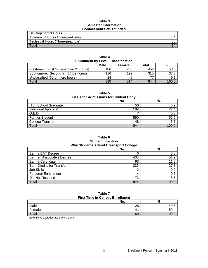### **Table 3 Semester Information Contact hours** *NOT* **funded**

| Developmental Hours               |     |
|-----------------------------------|-----|
| Academic Hours (Three-peat rule)  | 384 |
| Technical Hours (Three-peat rule) | 80  |
| Total                             |     |

| <b>Enrollment by Level / Classification</b> |      |               |       |       |  |
|---------------------------------------------|------|---------------|-------|-------|--|
|                                             | Male | <b>Female</b> | Total | %     |  |
| Freshman: First Yr (less than 24 hours)     | 186  | 266           | 452   | 53.6  |  |
| Sophomore: Second Yr (24-59 hours)          | 116  | 199           | 315   | 37.3  |  |
| Unclassified (60 or more hours)             | 28   | 49            | 77    | 9.1   |  |
| Total                                       | 330  | 514           | 844   | 100.0 |  |

**Table 4**

# **Table 5**

# **Basis for Admissions for Student Body**

|                             | No. | %     |
|-----------------------------|-----|-------|
| <b>High School Graduate</b> | 50  | 5.9   |
| Individual Approval         | 189 | 22.4  |
| G.E.D.                      |     | 0.8   |
| <b>Former Student</b>       | 550 | 65.2  |
| College Transfer            | 48  | 5.7   |
| Total                       | 844 | 100 ር |

## **Table 6 Student Intention Why Students Attend Brazosport College**

| -- 20 -                          |     |       |  |
|----------------------------------|-----|-------|--|
|                                  | No. | %     |  |
| Earn a BAT Degree                |     | 0.0   |  |
| Earn an Associate's Degree       | 438 | 51.9  |  |
| Earn a Certificate               | 93  | 11.0  |  |
| <b>Earn Credits for Transfer</b> | 235 | 27.8  |  |
| Job Skills                       | ◠   | 0.2   |  |
| <b>Personal Enrichment</b>       | 4   | 0.5   |  |
| Did Not Respond                  | 72  | 8.5   |  |
| Total                            | 844 | 100.0 |  |

### **Table 7 First Time in College Enrollment**

| <b>THOL TIME IN OURGE LINOINGIN</b> |             |      |  |
|-------------------------------------|-------------|------|--|
|                                     | No.         | %    |  |
| Male                                | 28          | 40.O |  |
| Female                              | $4^{\circ}$ | ວອ.• |  |
| Total                               | 69          |      |  |

Note: FTIC excludes transfer students.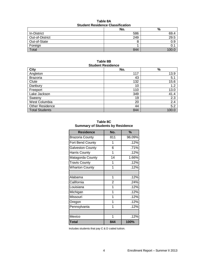## **Table 8A Student Residence Classification**

| oluudiil Rooluutiivo oluudiilvulleil |     |                |  |
|--------------------------------------|-----|----------------|--|
|                                      | No. | %              |  |
| In-District                          | 586 | 69.4           |  |
| Out-of-District                      | 249 | 29.5           |  |
| Out-of-State                         |     | 0.9            |  |
| Foreign                              |     |                |  |
| Total                                | 844 | $-100 \degree$ |  |

## **Table 8B Student Residence**

| <b>City</b>            | No. | $\%$  |
|------------------------|-----|-------|
| Angleton               | 117 | 13.9  |
| <b>Brazoria</b>        | 43  | 5.1   |
| Clute                  | 132 | 15.6  |
| Danbury                | 10  | 1.2   |
| Freeport               | 110 | 13.0  |
| Lake Jackson           | 349 | 41.4  |
| Sweeny                 | 19  | 2.3   |
| West Columbia          | 20  | 2.4   |
| <b>Other Residence</b> | 44  | 5.2   |
| Total Students         | 844 | 100.0 |

| Table 8C                                |  |
|-----------------------------------------|--|
| <b>Summary of Students by Residence</b> |  |

| <b>Residence</b>        | No.            | $\frac{9}{6}$ |
|-------------------------|----------------|---------------|
| <b>Brazoria County</b>  | 811            | 96.09%        |
| Fort Bend County        | 1              | .12%          |
| <b>Galveston County</b> | 6              | .71%          |
| <b>Harris County</b>    | 1              | .12%          |
| Matagorda County        | 14             | 1.66%         |
| <b>Travis County</b>    | 1              | .12%          |
| <b>Wharton County</b>   | 1              | .12%          |
|                         |                |               |
| Alabama                 | 1              | .12%          |
| California              | $\overline{2}$ | .24%          |
| Louisiana               | 1              | .12%          |
| Michigan                | 1              | .12%          |
| Missouri                | 1              | .12%          |
| Oregon                  | 1              | .12%          |
| Pennsylvania            | 1              | .12%          |
|                         |                |               |
| Mexico                  | 1              | .12%          |
| Total                   | 844            | 100%          |

Includes students that pay C & D coded tuition.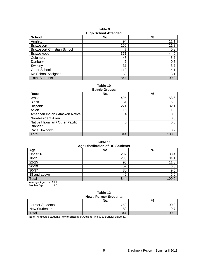| <b>HIGHL</b> OCHOOL ALLEHUEU       |     |       |  |
|------------------------------------|-----|-------|--|
| <b>School</b>                      | No. | %     |  |
| Angleton                           | 94  | 11.1  |  |
| <b>Brazosport</b>                  | 100 | 11.8  |  |
| <b>Brazosport Christian School</b> |     | 0.8   |  |
| Brazoswood                         | 371 | 44.0  |  |
| Columbia                           | 48  | 5.7   |  |
| Danbury                            | 6   | 0.7   |  |
| Sweeny                             | 31  | 3.7   |  |
| Other Schools                      | 119 | 14.1  |  |
| No School Assigned                 | 68  | 8.1   |  |
| <b>Total Students</b>              | 844 | 100.0 |  |

**Table 9 High School Attended**

**Table 10**

| <b>Ethnic Groups</b>             |     |       |  |  |
|----------------------------------|-----|-------|--|--|
| Race                             | No. | %     |  |  |
| White                            | 495 | 58.6  |  |  |
| <b>Black</b>                     | 51  | 6.0   |  |  |
| Hispanic                         | 271 | 32.1  |  |  |
| Asian                            | 15  | 1.8   |  |  |
| American Indian / Alaskan Native | 4   | 0.5   |  |  |
| Non-Resident Alien               | 0   | 0.0   |  |  |
| Native Hawaiian / Other Pacific  | 0   | 0.0   |  |  |
| Islander                         |     |       |  |  |
| Race Unknown                     | 8   | 0.9   |  |  |
| Total                            | 844 | 100.0 |  |  |

# **Table 11 Age Distribution of BC Students**

| - - 0                 |     |       |
|-----------------------|-----|-------|
| Age                   | No. | %     |
| Under 18              | 282 | 33.4  |
| 18-21                 | 288 | 34.1  |
| 22-25                 | 95  | 11.3  |
| 26-29                 | 57  | 6.8   |
| 30-37                 | 80  | 9.5   |
| 38 and above          | 42  | 5.0   |
| Total                 | 844 | 100.0 |
| $-210$<br>Avorogo Ago |     |       |

Average Age = 21.9 Median Age  $= 19.0$ 

#### **Table 12 New / Former Students**

| 11011110101101011001100 |     |      |  |  |
|-------------------------|-----|------|--|--|
|                         | No. | %    |  |  |
| <b>Former Students</b>  | 762 | 90.3 |  |  |
| New Students*           | 82  |      |  |  |
| <b>Total</b>            | 844 |      |  |  |

Note: \*Indicates students new to Brazosport College--includes transfer students.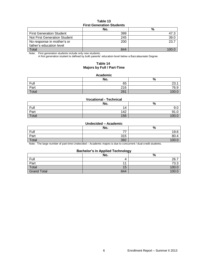# **Table 13 First Generation Students**

|                                 | No. | %    |  |  |
|---------------------------------|-----|------|--|--|
| <b>First Generation Student</b> | 399 | 47.J |  |  |
| Not First Generation Student    | 245 | 39.0 |  |  |
| No response in mother's or      | 200 | 23.7 |  |  |
| father's education level        |     |      |  |  |
| Total                           | 844 |      |  |  |

Note: First generation students include only new students.

A first generation student is defined by both parents' education level below a Baccalaureate Degree.

# **Table 14 Majors by Full / Part-Time**

#### **Academic**

|       | No. | $\Omega$<br>70  |
|-------|-----|-----------------|
| Full  | 65  | ۷υ.             |
| Part  | 216 | 76.9            |
| Total | 281 | 10 <sup>c</sup> |

#### **Vocational - Technical**

|       | No. | %     |
|-------|-----|-------|
| Full  | 14  | Y.U   |
| Part  | 142 | ں. ا  |
| Total | 156 | 100.0 |

### **Undecided – Academic**

|       | No. | %     |
|-------|-----|-------|
| Full  |     | 19.6  |
| Part  | 315 | 80.4  |
| Total | 392 | 100.C |

Note: The large number of part-time Undecided – Academic majors is due to concurrent / dual credit students.

## **Bachelor's in Applied Technology**

|                    | No. | --<br>$\Omega$<br>70 |
|--------------------|-----|----------------------|
| Full               |     | 26.7                 |
| Part               |     | 73.3                 |
| Total              | 15  | 100.0                |
| <b>Grand Total</b> | 844 | 100.0                |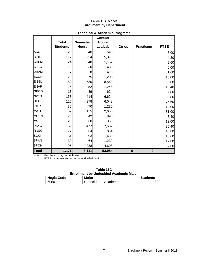## **Table 15A & 15B Enrollment by Department**

|              |                                 |                                 | Technical & Academic Programs<br><b>Contact</b> |             |                  |             |
|--------------|---------------------------------|---------------------------------|-------------------------------------------------|-------------|------------------|-------------|
|              | <b>Total</b><br><b>Students</b> | <b>Semester</b><br><b>Hours</b> | <b>Hours</b><br>Lec/Lab                         |             | <b>Practicum</b> | <b>FTSE</b> |
|              |                                 |                                 |                                                 | Co-op       |                  |             |
| <b>ACCT</b>  | 20                              | 40                              | 640                                             |             |                  | 8.00        |
| <b>BIOL</b>  | 112                             | 224                             | 5,376                                           |             |                  | 44.80       |
| <b>CHEM</b>  | 24                              | 48                              | 1,152                                           |             |                  | 9.60        |
| <b>CTEC</b>  | 15                              | 30                              | 480                                             |             |                  | 6.00        |
| <b>DRAM</b>  | 7                               | 8                               | 416                                             |             |                  | 1.60        |
| <b>ECON</b>  | 25                              | 75                              | 1,200                                           |             |                  | 15.00       |
| <b>ENGL</b>  | 180                             | 530                             | 8,560                                           |             |                  | 106.00      |
| <b>ENVR</b>  | 26                              | 52                              | 1,248                                           |             |                  | 10.40       |
| <b>GEOG</b>  | 13                              | 39                              | 624                                             |             |                  | 7.80        |
| <b>GOVT</b>  | 138                             | 414                             | 6,624                                           |             |                  | 82.80       |
| <b>HIST</b>  | 126                             | 378                             | 6,048                                           |             |                  | 75.60       |
| <b>INTC</b>  | 35                              | 70                              | 1,280                                           |             |                  | 14.00       |
| <b>MATH</b>  | 59                              | 155                             | 2,656                                           |             |                  | 31.00       |
| <b>MCHN</b>  | 28                              | 42                              | 896                                             |             |                  | 8.40        |
| <b>MUSI</b>  | 20                              | 60                              | 960                                             |             |                  | 12.00       |
| <b>PSYC</b>  | 159                             | 477                             | 7,632                                           |             |                  | 95.40       |
| <b>RNSG</b>  | 27                              | 54                              | 864                                             |             |                  | 10.80       |
| SOCI         | 31                              | 93                              | 1,488                                           |             |                  | 18.60       |
| <b>SPAN</b>  | 30 <sup>°</sup>                 | 64                              | 1,232                                           |             |                  | 12.80       |
| <b>SPCH</b>  | 96                              | 288                             | 4,608                                           |             |                  | 57.60       |
| <b>Total</b> | 1,171                           | 3,141                           | 53,984                                          | $\mathbf 0$ | $\bf{0}$         |             |

# **Technical & Academic Programs**

Note: Enrollment may be duplicated.

FTSE = summer semester hours divided by 5.

| Table 15C                                     |
|-----------------------------------------------|
| <b>Enrollment by Undecided Academic Major</b> |

| <b>Hegis Code</b> | <b>Major</b>           | <b>Students</b> |
|-------------------|------------------------|-----------------|
| 6950              | L Undecided – Academic | 392             |